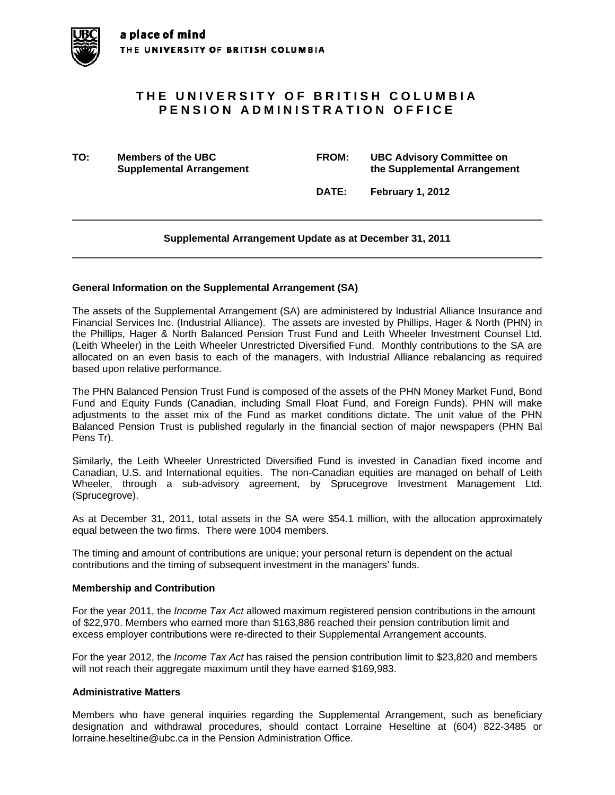# **THE UNIVERSITY OF BRITISH COLUMBIA PENSION ADMINISTRATION OFFICE**

**TO: Members of the UBC FROM: UBC Advisory Committee on Supplemental Arrangement 12 Constraining the Supplemental Arrangement** 

 **DATE: February 1, 2012** 

## **Supplemental Arrangement Update as at December 31, 2011**

### **General Information on the Supplemental Arrangement (SA)**

The assets of the Supplemental Arrangement (SA) are administered by Industrial Alliance Insurance and Financial Services Inc. (Industrial Alliance). The assets are invested by Phillips, Hager & North (PHN) in the Phillips, Hager & North Balanced Pension Trust Fund and Leith Wheeler Investment Counsel Ltd. (Leith Wheeler) in the Leith Wheeler Unrestricted Diversified Fund. Monthly contributions to the SA are allocated on an even basis to each of the managers, with Industrial Alliance rebalancing as required based upon relative performance.

The PHN Balanced Pension Trust Fund is composed of the assets of the PHN Money Market Fund, Bond Fund and Equity Funds (Canadian, including Small Float Fund, and Foreign Funds). PHN will make adjustments to the asset mix of the Fund as market conditions dictate. The unit value of the PHN Balanced Pension Trust is published regularly in the financial section of major newspapers (PHN Bal Pens Tr).

Similarly, the Leith Wheeler Unrestricted Diversified Fund is invested in Canadian fixed income and Canadian, U.S. and International equities. The non-Canadian equities are managed on behalf of Leith Wheeler, through a sub-advisory agreement, by Sprucegrove Investment Management Ltd. (Sprucegrove).

As at December 31, 2011, total assets in the SA were \$54.1 million, with the allocation approximately equal between the two firms. There were 1004 members.

The timing and amount of contributions are unique; your personal return is dependent on the actual contributions and the timing of subsequent investment in the managers' funds.

### **Membership and Contribution**

For the year 2011, the *Income Tax Act* allowed maximum registered pension contributions in the amount of \$22,970. Members who earned more than \$163,886 reached their pension contribution limit and excess employer contributions were re-directed to their Supplemental Arrangement accounts.

For the year 2012, the *Income Tax Act* has raised the pension contribution limit to \$23,820 and members will not reach their aggregate maximum until they have earned \$169,983.

### **Administrative Matters**

Members who have general inquiries regarding the Supplemental Arrangement, such as beneficiary designation and withdrawal procedures, should contact Lorraine Heseltine at (604) 822-3485 or lorraine.heseltine@ubc.ca in the Pension Administration Office.